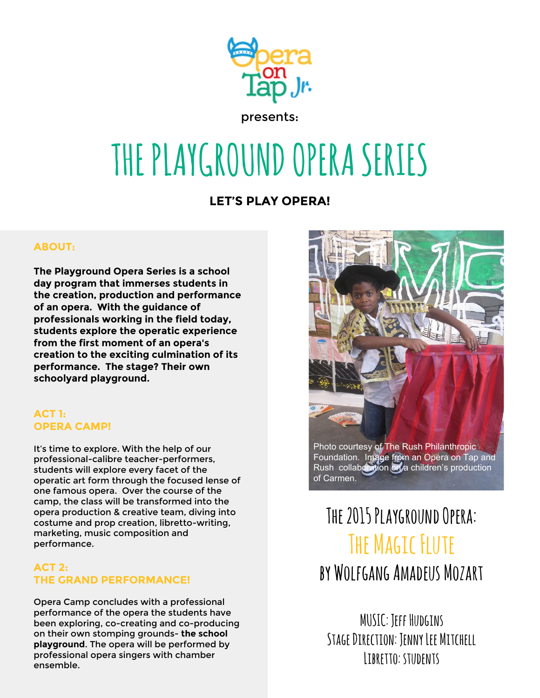

# **THE PLAYGROUND OPERA SERIES**

# **LET'S PLAY OPERA!**

#### **ABOUT:**

**The Playground Opera Series is a school day program that immerses students in the creation, production and performance of an opera. With the guidance of professionals working in the field today, students explore the operatic experience from the first moment of an opera's creation to the exciting culmination of its performance. The stage? Their own schoolyard playground.**

#### **ACT 1: OPERA CAMP!**

It's time to explore. With the help of our professional-calibre teacher-performers, students will explore every facet of the operatic art form through the focused lense of one famous opera. Over the course of the camp, the class will be transformed into the opera production & creative team, diving into costume and prop creation, libretto-writing, marketing, music composition and performance.

#### **ACT 2: THE GRAND PERFORMANCE!**

Opera Camp concludes with a professional performance of the opera the students have been exploring, co-creating and co-producing on their own stomping grounds- **the school playground**. The opera will be performed by professional opera singers with chamber ensemble.



# **The 2015 Playground Opera: The Magic Flute by Wolfgang Amadeus Mozart**

**MUSIC: Jeff Hudgins Stage Direction: Jenny Lee Mitchell Libretto: students**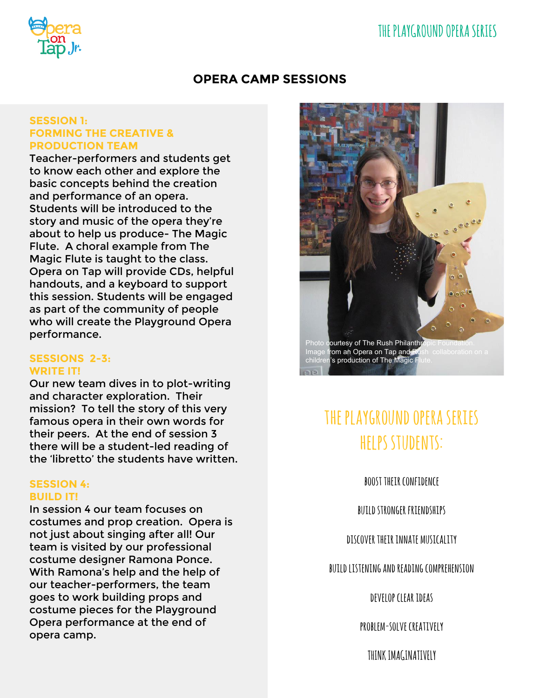

### **OPERA CAMP SESSIONS**

#### **SESSION 1: FORMING THE CREATIVE & PRODUCTION TEAM**

Teacher-performers and students get to know each other and explore the basic concepts behind the creation and performance of an opera. Students will be introduced to the story and music of the opera they're about to help us produce- The Magic Flute. A choral example from The Magic Flute is taught to the class. Opera on Tap will provide CDs, helpful handouts, and a keyboard to support this session. Students will be engaged as part of the community of people who will create the Playground Opera performance.

#### **SESSIONS 2-3: WRITE IT!**

Our new team dives in to plot-writing and character exploration. Their mission? To tell the story of this very famous opera in their own words for their peers. At the end of session 3 there will be a student-led reading of the 'libretto' the students have written.

#### **SESSION 4: BUILD IT!**

In session 4 our team focuses on costumes and prop creation. Opera is not just about singing after all! Our team is visited by our professional costume designer Ramona Ponce. With Ramona's help and the help of our teacher-performers, the team goes to work building props and costume pieces for the Playground Opera performance at the end of opera camp.



# **the playground opera series helps students:**

**boost their confidence**

**build stronger friendships**

**discover their innate musicality**

**build listening and reading comprehension**

**develop clear ideas**

**problem-solve creatively**

**THINK IMAGINATIVELY**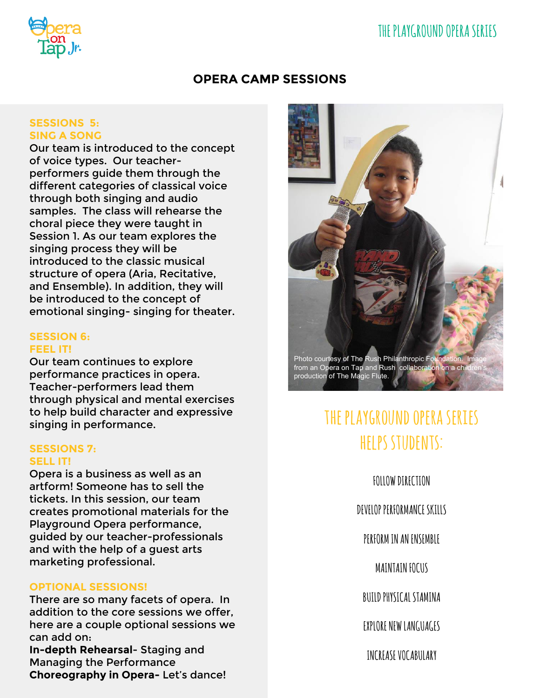# **THE PLAYGROUND OPERA SERIES**



### **OPERA CAMP SESSIONS**

#### **SESSIONS 5: SING A SONG**

Our team is introduced to the concept of voice types. Our teacherperformers guide them through the different categories of classical voice through both singing and audio samples. The class will rehearse the choral piece they were taught in Session 1. As our team explores the singing process they will be introduced to the classic musical structure of opera (Aria, Recitative, and Ensemble). In addition, they will be introduced to the concept of emotional singing- singing for theater.

#### **SESSION 6: FEEL IT!**

Our team continues to explore performance practices in opera. Teacher-performers lead them through physical and mental exercises to help build character and expressive singing in performance.

#### **SESSIONS 7: SELL IT!**

Opera is a business as well as an artform! Someone has to sell the tickets. In this session, our team creates promotional materials for the Playground Opera performance, guided by our teacher-professionals and with the help of a guest arts marketing professional.

#### **OPTIONAL SESSIONS!**

There are so many facets of opera. In addition to the core sessions we offer, here are a couple optional sessions we can add on: **In-depth Rehearsal**- Staging and Managing the Performance **Choreography in Opera-** Let's dance!



# **the playground opera series helps students:**

**FOLLOW DIRECTION**

**DEVELOP PERFORMANCE SKILLS**

**PERFORM IN AN ENSEMBLE**

**MAINTAIN FOCUS**

**BUILD PHYSICAL STAMINA**

**EXPLORE NEW LANGUAGES**

**INCREASE VOCABULARY**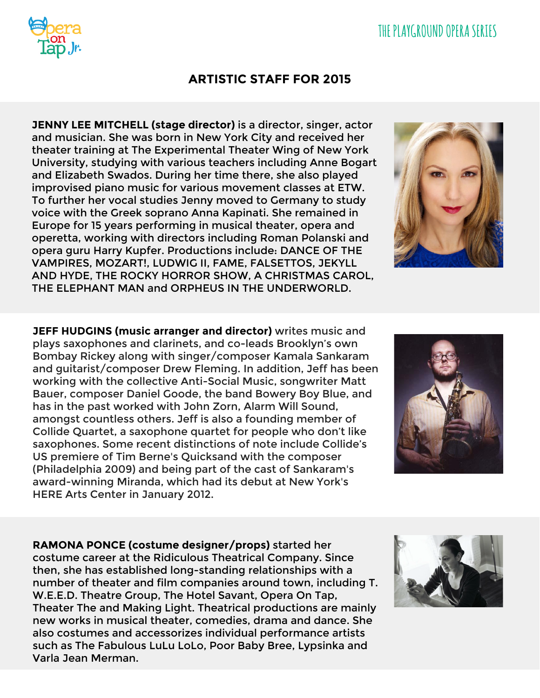# **THE PLAYGROUND OPERA SERIES**

### **ARTISTIC STAFF FOR 2015**

**JENNY LEE MITCHELL (stage director)** is a director, singer, actor and musician. She was born in New York City and received her theater training at The Experimental Theater Wing of New York University, studying with various teachers including Anne Bogart and Elizabeth Swados. During her time there, she also played improvised piano music for various movement classes at ETW. To further her vocal studies Jenny moved to Germany to study voice with the Greek soprano Anna Kapinati. She remained in Europe for 15 years performing in musical theater, opera and operetta, working with directors including Roman Polanski and opera guru Harry Kupfer. Productions include: DANCE OF THE VAMPIRES, MOZART!, LUDWIG II, FAME, FALSETTOS, JEKYLL AND HYDE, THE ROCKY HORROR SHOW, A CHRISTMAS CAROL, THE ELEPHANT MAN and ORPHEUS IN THE UNDERWORLD.

**JEFF HUDGINS (music arranger and director)** writes music and plays saxophones and clarinets, and co-leads Brooklyn's own Bombay Rickey along with singer/composer Kamala Sankaram and guitarist/composer Drew Fleming. In addition, Jeff has been working with the collective Anti-Social Music, songwriter Matt Bauer, composer Daniel Goode, the band Bowery Boy Blue, and has in the past worked with John Zorn, Alarm Will Sound, amongst countless others. Jeff is also a founding member of Collide Quartet, a saxophone quartet for people who don't like saxophones. Some recent distinctions of note include Collide's US premiere of Tim Berne's Quicksand with the composer (Philadelphia 2009) and being part of the cast of Sankaram's award-winning Miranda, which had its debut at New York's HERE Arts Center in January 2012.

**RAMONA PONCE (costume designer/props)** started her costume career at the Ridiculous Theatrical Company. Since then, she has established long-standing relationships with a number of theater and film companies around town, including T. W.E.E.D. Theatre Group, The Hotel Savant, Opera On Tap, Theater The and Making Light. Theatrical productions are mainly new works in musical theater, comedies, drama and dance. She also costumes and accessorizes individual performance artists such as The Fabulous LuLu LoLo, Poor Baby Bree, Lypsinka and Varla Jean Merman.